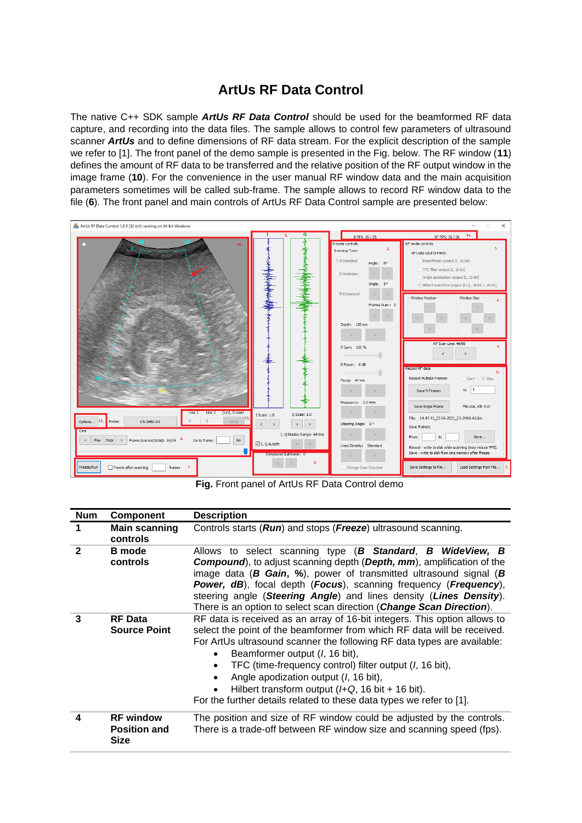# **ArtUs RF Data Control**

The native C++ SDK sample *ArtUs RF Data Control* should be used for the beamformed RF data capture, and recording into the data files. The sample allows to control few parameters of ultrasound scanner *ArtUs* and to define dimensions of RF data stream. For the explicit description of the sample we refer to [1]. The front panel of the demo sample is presented in the Fig. below. The RF window (**11**) defines the amount of RF data to be transferred and the relative position of the RF output window in the image frame (**10**). For the convenience in the user manual RF window data and the main acquisition parameters sometimes will be called sub-frame. The sample allows to record RF window data to the file (**6**). The front panel and main controls of ArtUs RF Data Control sample are presented below:



**Fig.** Front panel of ArtUs RF Data Control demo

| <b>Num</b>     | <b>Component</b>                                       | <b>Description</b>                                                                                                                                                                                                                                                                                                                                                                                                                                                                                                                    |
|----------------|--------------------------------------------------------|---------------------------------------------------------------------------------------------------------------------------------------------------------------------------------------------------------------------------------------------------------------------------------------------------------------------------------------------------------------------------------------------------------------------------------------------------------------------------------------------------------------------------------------|
|                | <b>Main scanning</b><br>controls                       | Controls starts (Run) and stops (Freeze) ultrasound scanning.                                                                                                                                                                                                                                                                                                                                                                                                                                                                         |
| $\overline{2}$ | <b>B</b> mode<br>controls                              | Allows to select scanning type (B Standard, B WideView, B<br><b>Compound</b> ), to adjust scanning depth (Depth, mm), amplification of the<br>image data ( <b>B Gain, %</b> ), power of transmitted ultrasound signal ( <b>B</b><br><b>Power, dB</b> ), focal depth (Focus), scanning frequency (Frequency),<br>steering angle (Steering Angle) and lines density (Lines Density).<br>There is an option to select scan direction (Change Scan Direction).                                                                            |
| 3              | <b>RF</b> Data<br><b>Source Point</b>                  | RF data is received as an array of 16-bit integers. This option allows to<br>select the point of the beamformer from which RF data will be received.<br>For ArtUs ultrasound scanner the following RF data types are available:<br>Beamformer output (I, 16 bit),<br>TFC (time-frequency control) filter output ( <i>I</i> , 16 bit),<br>Angle apodization output ( <i>l</i> , 16 bit),<br>Hilbert transform output $(HQ, 16 \text{ bit} + 16 \text{ bit})$ .<br>For the further details related to these data types we refer to [1]. |
| 4              | <b>RF</b> window<br><b>Position and</b><br><b>Size</b> | The position and size of RF window could be adjusted by the controls.<br>There is a trade-off between RF window size and scanning speed (fps).                                                                                                                                                                                                                                                                                                                                                                                        |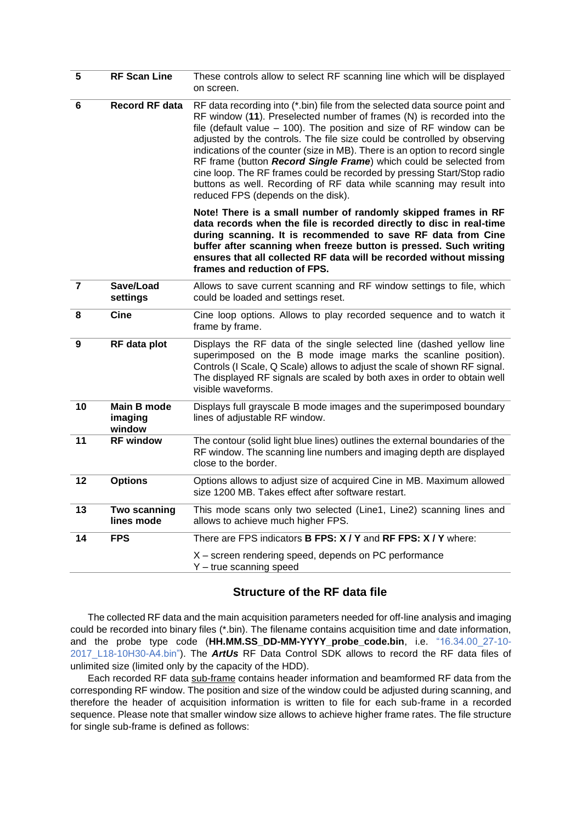| $\overline{\mathbf{5}}$ | <b>RF Scan Line</b>               | These controls allow to select RF scanning line which will be displayed<br>on screen.                                                                                                                                                                                                                                                                                                                                                                                                                                                                                                                                                                      |
|-------------------------|-----------------------------------|------------------------------------------------------------------------------------------------------------------------------------------------------------------------------------------------------------------------------------------------------------------------------------------------------------------------------------------------------------------------------------------------------------------------------------------------------------------------------------------------------------------------------------------------------------------------------------------------------------------------------------------------------------|
| 6                       | <b>Record RF data</b>             | RF data recording into (*.bin) file from the selected data source point and<br>RF window (11). Preselected number of frames (N) is recorded into the<br>file (default value $-$ 100). The position and size of RF window can be<br>adjusted by the controls. The file size could be controlled by observing<br>indications of the counter (size in MB). There is an option to record single<br>RF frame (button Record Single Frame) which could be selected from<br>cine loop. The RF frames could be recorded by pressing Start/Stop radio<br>buttons as well. Recording of RF data while scanning may result into<br>reduced FPS (depends on the disk). |
|                         |                                   | Note! There is a small number of randomly skipped frames in RF<br>data records when the file is recorded directly to disc in real-time<br>during scanning. It is recommended to save RF data from Cine<br>buffer after scanning when freeze button is pressed. Such writing<br>ensures that all collected RF data will be recorded without missing<br>frames and reduction of FPS.                                                                                                                                                                                                                                                                         |
| $\overline{7}$          | Save/Load<br>settings             | Allows to save current scanning and RF window settings to file, which<br>could be loaded and settings reset.                                                                                                                                                                                                                                                                                                                                                                                                                                                                                                                                               |
| 8                       | <b>Cine</b>                       | Cine loop options. Allows to play recorded sequence and to watch it<br>frame by frame.                                                                                                                                                                                                                                                                                                                                                                                                                                                                                                                                                                     |
| 9                       | RF data plot                      | Displays the RF data of the single selected line (dashed yellow line<br>superimposed on the B mode image marks the scanline position).<br>Controls (I Scale, Q Scale) allows to adjust the scale of shown RF signal.<br>The displayed RF signals are scaled by both axes in order to obtain well<br>visible waveforms.                                                                                                                                                                                                                                                                                                                                     |
| 10                      | Main B mode<br>imaging<br>window  | Displays full grayscale B mode images and the superimposed boundary<br>lines of adjustable RF window.                                                                                                                                                                                                                                                                                                                                                                                                                                                                                                                                                      |
| 11                      | <b>RF window</b>                  | The contour (solid light blue lines) outlines the external boundaries of the<br>RF window. The scanning line numbers and imaging depth are displayed<br>close to the border.                                                                                                                                                                                                                                                                                                                                                                                                                                                                               |
| 12                      | <b>Options</b>                    | Options allows to adjust size of acquired Cine in MB. Maximum allowed<br>size 1200 MB. Takes effect after software restart.                                                                                                                                                                                                                                                                                                                                                                                                                                                                                                                                |
| 13                      | <b>Two scanning</b><br>lines mode | This mode scans only two selected (Line1, Line2) scanning lines and<br>allows to achieve much higher FPS.                                                                                                                                                                                                                                                                                                                                                                                                                                                                                                                                                  |
| 14                      | <b>FPS</b>                        | There are FPS indicators <b>B FPS: X / Y</b> and <b>RF FPS: X / Y</b> where:                                                                                                                                                                                                                                                                                                                                                                                                                                                                                                                                                                               |
|                         |                                   | X – screen rendering speed, depends on PC performance<br>$Y$ – true scanning speed                                                                                                                                                                                                                                                                                                                                                                                                                                                                                                                                                                         |

## **Structure of the RF data file**

The collected RF data and the main acquisition parameters needed for off-line analysis and imaging could be recorded into binary files (\*.bin). The filename contains acquisition time and date information, and the probe type code (**HH.MM.SS\_DD-MM-YYYY\_probe\_code.bin**, i.e. "16.34.00\_27-10- 2017\_L18-10H30-A4.bin"). The *ArtUs* RF Data Control SDK allows to record the RF data files of unlimited size (limited only by the capacity of the HDD).

Each recorded RF data sub-frame contains header information and beamformed RF data from the corresponding RF window. The position and size of the window could be adjusted during scanning, and therefore the header of acquisition information is written to file for each sub-frame in a recorded sequence. Please note that smaller window size allows to achieve higher frame rates. The file structure for single sub-frame is defined as follows: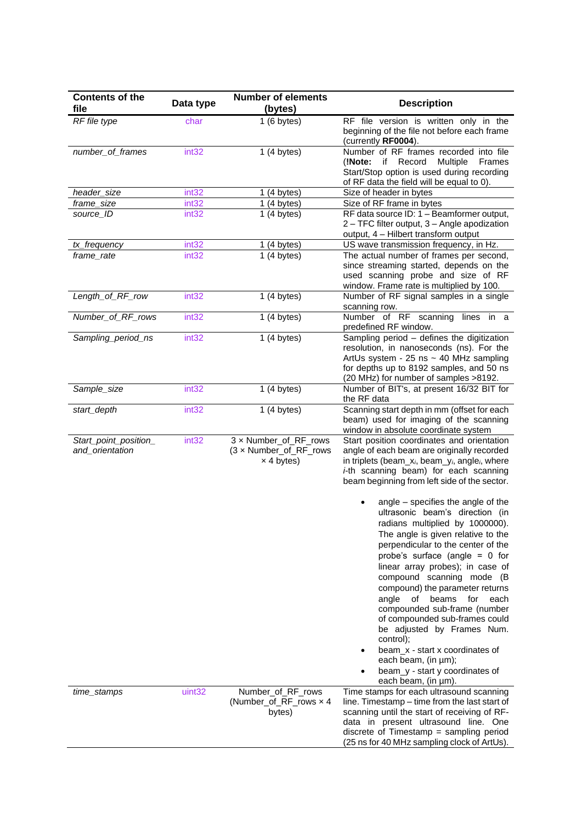| <b>Contents of the</b>                   |                   | <b>Number of elements</b>                                            |                                                                                                                                                                                                                                                                                                                                                                                                                                                                                                              |
|------------------------------------------|-------------------|----------------------------------------------------------------------|--------------------------------------------------------------------------------------------------------------------------------------------------------------------------------------------------------------------------------------------------------------------------------------------------------------------------------------------------------------------------------------------------------------------------------------------------------------------------------------------------------------|
| file                                     | Data type         | (bytes)                                                              | <b>Description</b>                                                                                                                                                                                                                                                                                                                                                                                                                                                                                           |
| RF file type                             | char              | 1(6 bytes)                                                           | RF file version is written only in the<br>beginning of the file not before each frame<br>(currently RF0004).                                                                                                                                                                                                                                                                                                                                                                                                 |
| number_of_frames                         | int32             | 1(4 bytes)                                                           | Number of RF frames recorded into file<br>if Record<br><b>Multiple</b><br>(!Note:<br>Frames<br>Start/Stop option is used during recording<br>of RF data the field will be equal to 0).                                                                                                                                                                                                                                                                                                                       |
| header_size                              | int <sub>32</sub> | 1(4 bytes)                                                           | Size of header in bytes                                                                                                                                                                                                                                                                                                                                                                                                                                                                                      |
| frame_size                               | int <sub>32</sub> | 1(4 bytes)                                                           | Size of RF frame in bytes                                                                                                                                                                                                                                                                                                                                                                                                                                                                                    |
| source_ID                                | int <sub>32</sub> | 1(4 bytes)                                                           | RF data source ID: 1 - Beamformer output,<br>2 - TFC filter output, 3 - Angle apodization<br>output, 4 - Hilbert transform output                                                                                                                                                                                                                                                                                                                                                                            |
| tx_frequency                             | int <sub>32</sub> | 1(4 bytes)                                                           | US wave transmission frequency, in Hz.                                                                                                                                                                                                                                                                                                                                                                                                                                                                       |
| frame_rate                               | int <sub>32</sub> | 1(4 bytes)                                                           | The actual number of frames per second,<br>since streaming started, depends on the<br>used scanning probe and size of RF<br>window. Frame rate is multiplied by 100.                                                                                                                                                                                                                                                                                                                                         |
| Length_of_RF_row                         | int32             | 1(4 bytes)                                                           | Number of RF signal samples in a single<br>scanning row.                                                                                                                                                                                                                                                                                                                                                                                                                                                     |
| Number_of_RF_rows                        | int32             | 1(4 bytes)                                                           | Number of RF scanning<br>lines in a<br>predefined RF window.                                                                                                                                                                                                                                                                                                                                                                                                                                                 |
| Sampling_period_ns                       | int32             | 1(4 bytes)                                                           | Sampling period - defines the digitization<br>resolution, in nanoseconds (ns). For the<br>ArtUs system - 25 ns $\sim$ 40 MHz sampling<br>for depths up to 8192 samples, and 50 ns<br>(20 MHz) for number of samples >8192.                                                                                                                                                                                                                                                                                   |
| Sample_size                              | int32             | 1(4 bytes)                                                           | Number of BIT's, at present 16/32 BIT for<br>the RF data                                                                                                                                                                                                                                                                                                                                                                                                                                                     |
| start_depth                              | int32             | 1(4 bytes)                                                           | Scanning start depth in mm (offset for each<br>beam) used for imaging of the scanning<br>window in absolute coordinate system                                                                                                                                                                                                                                                                                                                                                                                |
| Start_point_position_<br>and_orientation | int32             | 3 x Number_of_RF_rows<br>(3 x Number_of_RF_rows<br>$\times$ 4 bytes) | Start position coordinates and orientation<br>angle of each beam are originally recorded<br>in triplets (beam_x <sub>i</sub> , beam_y <sub>i</sub> , angle <sub>i</sub> , where<br><i>i</i> -th scanning beam) for each scanning<br>beam beginning from left side of the sector.<br>angle - specifies the angle of the<br>ultrasonic beam's direction (in<br>radians multiplied by 1000000).<br>The angle is given relative to the<br>perpendicular to the center of the<br>probe's surface (angle $= 0$ for |
|                                          |                   |                                                                      | linear array probes); in case of<br>compound scanning mode (B<br>compound) the parameter returns<br>beams<br>angle<br>of<br>for<br>each<br>compounded sub-frame (number<br>of compounded sub-frames could<br>be adjusted by Frames Num.<br>control);<br>beam_x - start x coordinates of<br>each beam, (in $\mu$ m);<br>beam_y - start y coordinates of<br>each beam, (in µm).                                                                                                                                |
| time_stamps                              | uint32            | Number_of_RF_rows<br>(Number_of_RF_rows x 4<br>bytes)                | Time stamps for each ultrasound scanning<br>line. Timestamp - time from the last start of<br>scanning until the start of receiving of RF-<br>data in present ultrasound line. One<br>discrete of Timestamp $=$ sampling period<br>(25 ns for 40 MHz sampling clock of ArtUs).                                                                                                                                                                                                                                |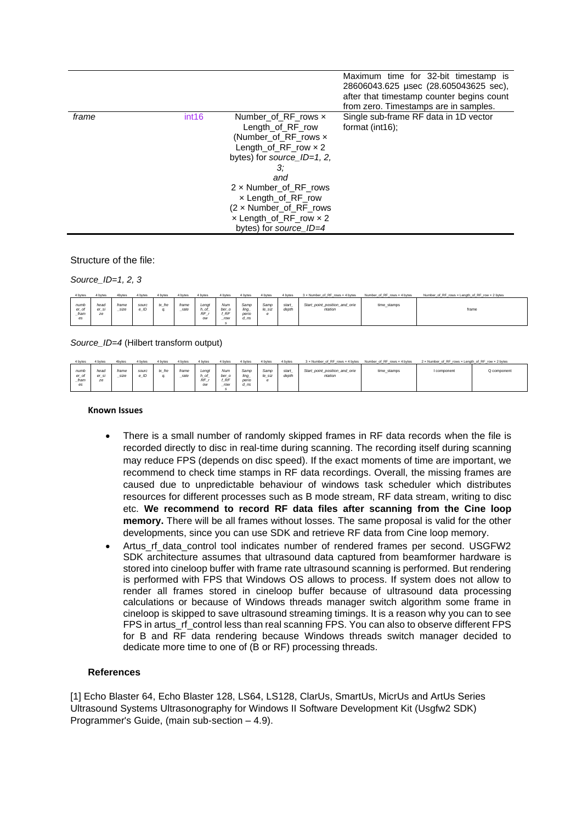|       |                   |                                                                                                                                                                                                                                                                                                    | Maximum time for 32-bit timestamp is<br>28606043.625 µsec (28.605043625 sec),<br>after that timestamp counter begins count<br>from zero. Timestamps are in samples. |
|-------|-------------------|----------------------------------------------------------------------------------------------------------------------------------------------------------------------------------------------------------------------------------------------------------------------------------------------------|---------------------------------------------------------------------------------------------------------------------------------------------------------------------|
| frame | int <sub>16</sub> | Number of RF rows $\times$<br>Length of RF row<br>(Number of RF rows x<br>Length_of_RF_row $\times$ 2<br>bytes) for source $ID=1, 2$ ,<br>З:<br>and<br>$2 \times$ Number of RF rows<br>$\times$ Length of RF row<br>(2 x Number_of_RF_rows<br>$x$ Length_of_RF_row $x$ 2<br>bytes) for source_ID=4 | Single sub-frame RF data in 1D vector<br>format $(int16)$ ;                                                                                                         |

Structure of the file:

*Source\_ID=1, 2, 3*

| 4 bytes                     | 4 byte              | 4bytes               | 1 hytes     | I byte | 4 bytes       | 4 bytes                                   | 4 bytes                   | 4 bytes                           | 4 bytes             | 4 bytes        | 3 x Number of RF rows x 4 bytes          | Number of RF rows x 4 bytes | Number_of_RF_rows x Length_of_RF_row x 2 bytes |
|-----------------------------|---------------------|----------------------|-------------|--------|---------------|-------------------------------------------|---------------------------|-----------------------------------|---------------------|----------------|------------------------------------------|-----------------------------|------------------------------------------------|
| numb<br>er_of<br>fram<br>es | hear<br>er_si<br>ze | frame<br><b>SIZe</b> | sourc<br>ID | tx fre | frame<br>rate | Lenat<br>$h\_of$<br>$\overline{RF}$<br>ow | Num<br>ber o<br>RF<br>row | Samo<br>ling_<br>peric<br>$d$ _ns | Samp<br>le_siz<br>e | start<br>depth | Start_point_position_and_orie<br>ntation | time_stamps                 | frame                                          |

*Source\_ID=4* (Hilbert transform output)

| 4 bytes                        | 4 bytes            | 4bytes        | 4 bytes       | 4 bytes | 4 bytes       | 4 bytes                           | 4 bytes                          | 4 bytes                       | 4 bytes        | 4 bytes        | 3 x Number of RF rows x 4 bytes Number of RF rows x 4 bytes |             | 2 x Number of RF rows x Length of RF row x 2 bytes |             |
|--------------------------------|--------------------|---------------|---------------|---------|---------------|-----------------------------------|----------------------------------|-------------------------------|----------------|----------------|-------------------------------------------------------------|-------------|----------------------------------------------------|-------------|
| numb<br>$er_$ ol<br>fram<br>es | head<br>r sı<br>ze | frame<br>size | sourc<br>e ID | tx_fre  | frame<br>rate | Lengt<br>$h_0$<br><b>RF</b><br>ow | Num<br>ber_o<br><b>RF</b><br>row | Samp<br>ling<br>perio<br>d_ns | Samp<br>le siz | start<br>depth | Start_point_position_and_orie<br>ntation                    | time stamps | I component                                        | Q component |

#### **Known Issues**

- There is a small number of randomly skipped frames in RF data records when the file is recorded directly to disc in real-time during scanning. The recording itself during scanning may reduce FPS (depends on disc speed). If the exact moments of time are important, we recommend to check time stamps in RF data recordings. Overall, the missing frames are caused due to unpredictable behaviour of windows task scheduler which distributes resources for different processes such as B mode stream, RF data stream, writing to disc etc. **We recommend to record RF data files after scanning from the Cine loop memory.** There will be all frames without losses. The same proposal is valid for the other developments, since you can use SDK and retrieve RF data from Cine loop memory.
- Artus\_rf\_data\_control tool indicates number of rendered frames per second. USGFW2 SDK architecture assumes that ultrasound data captured from beamformer hardware is stored into cineloop buffer with frame rate ultrasound scanning is performed. But rendering is performed with FPS that Windows OS allows to process. If system does not allow to render all frames stored in cineloop buffer because of ultrasound data processing calculations or because of Windows threads manager switch algorithm some frame in cineloop is skipped to save ultrasound streaming timings. It is a reason why you can to see FPS in artus\_rf\_control less than real scanning FPS. You can also to observe different FPS for B and RF data rendering because Windows threads switch manager decided to dedicate more time to one of (B or RF) processing threads.

### **References**

[1] Echo Blaster 64, Echo Blaster 128, LS64, LS128, ClarUs, SmartUs, MicrUs and ArtUs Series Ultrasound Systems Ultrasonography for Windows II Software Development Kit (Usgfw2 SDK) Programmer's Guide, (main sub-section – 4.9).